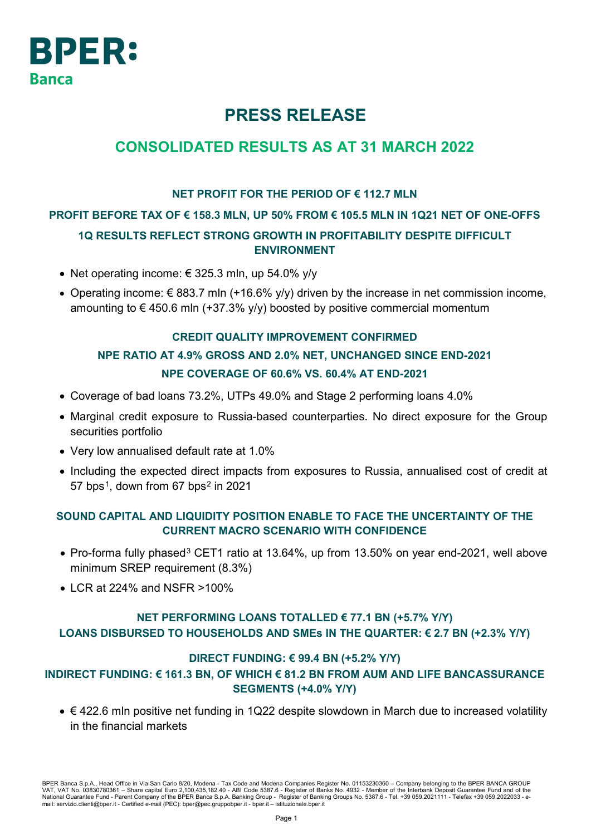

# **PRESS RELEASE**

## **CONSOLIDATED RESULTS AS AT 31 MARCH 2022**

### **NET PROFIT FOR THE PERIOD OF € 112.7 MLN**

### **PROFIT BEFORE TAX OF € 158.3 MLN, UP 50% FROM € 105.5 MLN IN 1Q21 NET OF ONE-OFFS**

## **1Q RESULTS REFLECT STRONG GROWTH IN PROFITABILITY DESPITE DIFFICULT ENVIRONMENT**

- Net operating income:  $\epsilon$  325.3 mln, up 54.0% y/y
- Operating income:  $\epsilon$  883.7 mln (+16.6% y/y) driven by the increase in net commission income, amounting to  $\epsilon$  450.6 mln (+37.3% y/y) boosted by positive commercial momentum

### **CREDIT QUALITY IMPROVEMENT CONFIRMED**

## **NPE RATIO AT 4.9% GROSS AND 2.0% NET, UNCHANGED SINCE END-2021 NPE COVERAGE OF 60.6% VS. 60.4% AT END-2021**

- Coverage of bad loans 73.2%, UTPs 49.0% and Stage 2 performing loans 4.0%
- Marginal credit exposure to Russia-based counterparties. No direct exposure for the Group securities portfolio
- Very low annualised default rate at 1.0%
- Including the expected direct impacts from exposures to Russia, annualised cost of credit at 57 bps<sup>[1](#page-7-0)</sup>, down from 67 bps<sup>[2](#page-7-1)</sup> in 2021

### **SOUND CAPITAL AND LIQUIDITY POSITION ENABLE TO FACE THE UNCERTAINTY OF THE CURRENT MACRO SCENARIO WITH CONFIDENCE**

- Pro-forma fully phased<sup>[3](#page-7-2)</sup> CET1 ratio at 13.64%, up from 13.50% on year end-2021, well above minimum SREP requirement (8.3%)
- LCR at 224% and NSFR >100%

### **NET PERFORMING LOANS TOTALLED € 77.1 BN (+5.7% Y/Y) LOANS DISBURSED TO HOUSEHOLDS AND SMEs IN THE QUARTER: € 2.7 BN (+2.3% Y/Y)**

### **DIRECT FUNDING: € 99.4 BN (+5.2% Y/Y)**

## **INDIRECT FUNDING: € 161.3 BN, OF WHICH € 81.2 BN FROM AUM AND LIFE BANCASSURANCE SEGMENTS (+4.0% Y/Y)**

• € 422.6 mln positive net funding in 1Q22 despite slowdown in March due to increased volatility in the financial markets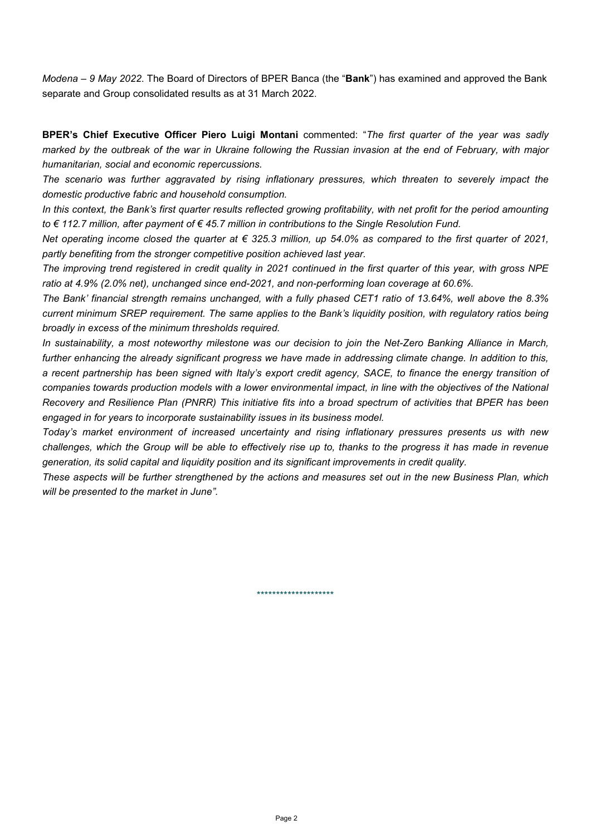*Modena – 9 May 2022*. The Board of Directors of BPER Banca (the "**Bank**") has examined and approved the Bank separate and Group consolidated results as at 31 March 2022.

**BPER's Chief Executive Officer Piero Luigi Montani** commented: "*The first quarter of the year was sadly marked by the outbreak of the war in Ukraine following the Russian invasion at the end of February, with major humanitarian, social and economic repercussions.* 

*The scenario was further aggravated by rising inflationary pressures, which threaten to severely impact the domestic productive fabric and household consumption.*

*In this context, the Bank's first quarter results reflected growing profitability, with net profit for the period amounting to € 112.7 million, after payment of € 45.7 million in contributions to the Single Resolution Fund.*

*Net operating income closed the quarter at € 325.3 million, up 54.0% as compared to the first quarter of 2021, partly benefiting from the stronger competitive position achieved last year.*

*The improving trend registered in credit quality in 2021 continued in the first quarter of this year, with gross NPE ratio at 4.9% (2.0% net), unchanged since end-2021, and non-performing loan coverage at 60.6%.*

*The Bank' financial strength remains unchanged, with a fully phased CET1 ratio of 13.64%, well above the 8.3% current minimum SREP requirement. The same applies to the Bank's liquidity position, with regulatory ratios being broadly in excess of the minimum thresholds required.*

*In sustainability, a most noteworthy milestone was our decision to join the Net-Zero Banking Alliance in March, further enhancing the already significant progress we have made in addressing climate change. In addition to this, a recent partnership has been signed with Italy's export credit agency, SACE, to finance the energy transition of companies towards production models with a lower environmental impact, in line with the objectives of the National Recovery and Resilience Plan (PNRR) This initiative fits into a broad spectrum of activities that BPER has been engaged in for years to incorporate sustainability issues in its business model.*

*Today's market environment of increased uncertainty and rising inflationary pressures presents us with new challenges, which the Group will be able to effectively rise up to, thanks to the progress it has made in revenue generation, its solid capital and liquidity position and its significant improvements in credit quality.*

*These aspects will be further strengthened by the actions and measures set out in the new Business Plan, which will be presented to the market in June".* 

\*\*\*\*\*\*\*\*\*\*\*\*\*\*\*\*\*\*\*\*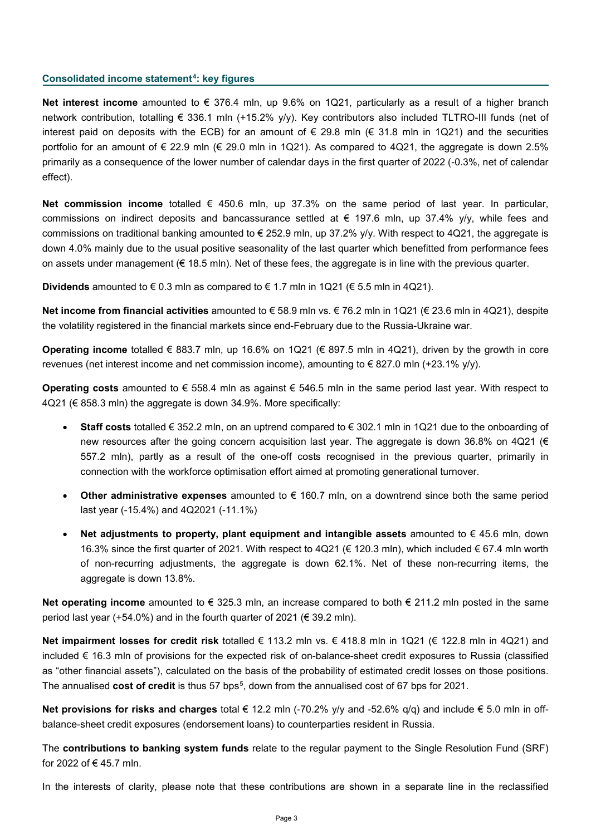#### **Consolidated income statement[4:](#page-7-3) key figures**

**Net interest income** amounted to € 376.4 mln, up 9.6% on 1Q21, particularly as a result of a higher branch network contribution, totalling € 336.1 mln (+15.2% y/y). Key contributors also included TLTRO-III funds (net of interest paid on deposits with the ECB) for an amount of € 29.8 mln (€ 31.8 mln in 1Q21) and the securities portfolio for an amount of  $\epsilon$  22.9 mln ( $\epsilon$  29.0 mln in 1Q21). As compared to 4Q21, the aggregate is down 2.5% primarily as a consequence of the lower number of calendar days in the first quarter of 2022 (-0.3%, net of calendar effect).

**Net commission income** totalled € 450.6 mln, up 37.3% on the same period of last year. In particular, commissions on indirect deposits and bancassurance settled at  $\epsilon$  197.6 mln, up 37.4% y/y, while fees and commissions on traditional banking amounted to  $\epsilon$  252.9 mln, up 37.2% y/y. With respect to 4Q21, the aggregate is down 4.0% mainly due to the usual positive seasonality of the last quarter which benefitted from performance fees on assets under management (€ 18.5 mln). Net of these fees, the aggregate is in line with the previous quarter.

**Dividends** amounted to € 0.3 mln as compared to € 1.7 mln in 1Q21 (€ 5.5 mln in 4Q21).

**Net income from financial activities** amounted to € 58.9 mln vs. € 76.2 mln in 1Q21 (€ 23.6 mln in 4Q21), despite the volatility registered in the financial markets since end-February due to the Russia-Ukraine war.

**Operating income** totalled € 883.7 mln, up 16.6% on 1Q21 (€ 897.5 mln in 4Q21), driven by the growth in core revenues (net interest income and net commission income), amounting to  $\epsilon$  827.0 mln (+23.1% y/y).

**Operating costs** amounted to € 558.4 mln as against € 546.5 mln in the same period last year. With respect to 4Q21 (€ 858.3 mln) the aggregate is down 34.9%. More specifically:

- **Staff costs** totalled € 352.2 mln, on an uptrend compared to € 302.1 mln in 1Q21 due to the onboarding of new resources after the going concern acquisition last year. The aggregate is down 36.8% on 4Q21 ( $\in$ 557.2 mln), partly as a result of the one-off costs recognised in the previous quarter, primarily in connection with the workforce optimisation effort aimed at promoting generational turnover.
- **Other administrative expenses** amounted to € 160.7 mln, on a downtrend since both the same period last year (-15.4%) and 4Q2021 (-11.1%)
- **Net adjustments to property, plant equipment and intangible assets** amounted to € 45.6 mln, down 16.3% since the first quarter of 2021. With respect to 4Q21 (€ 120.3 mln), which included € 67.4 mln worth of non-recurring adjustments, the aggregate is down 62.1%. Net of these non-recurring items, the aggregate is down 13.8%.

**Net operating income** amounted to € 325.3 mln, an increase compared to both € 211.2 mln posted in the same period last year (+54.0%) and in the fourth quarter of 2021 ( $\epsilon$  39.2 mln).

**Net impairment losses for credit risk** totalled € 113.2 mln vs. € 418.8 mln in 1Q21 (€ 122.8 mln in 4Q21) and included € 16.3 mln of provisions for the expected risk of on-balance-sheet credit exposures to Russia (classified as "other financial assets"), calculated on the basis of the probability of estimated credit losses on those positions. The annualised **cost of credit** is thus 57 bps[5](#page-7-4), down from the annualised cost of 67 bps for 2021.

**Net provisions for risks and charges** total € 12.2 mln (-70.2% y/y and -52.6% q/q) and include € 5.0 mln in offbalance-sheet credit exposures (endorsement loans) to counterparties resident in Russia.

The **contributions to banking system funds** relate to the regular payment to the Single Resolution Fund (SRF) for 2022 of € 45.7 mln.

In the interests of clarity, please note that these contributions are shown in a separate line in the reclassified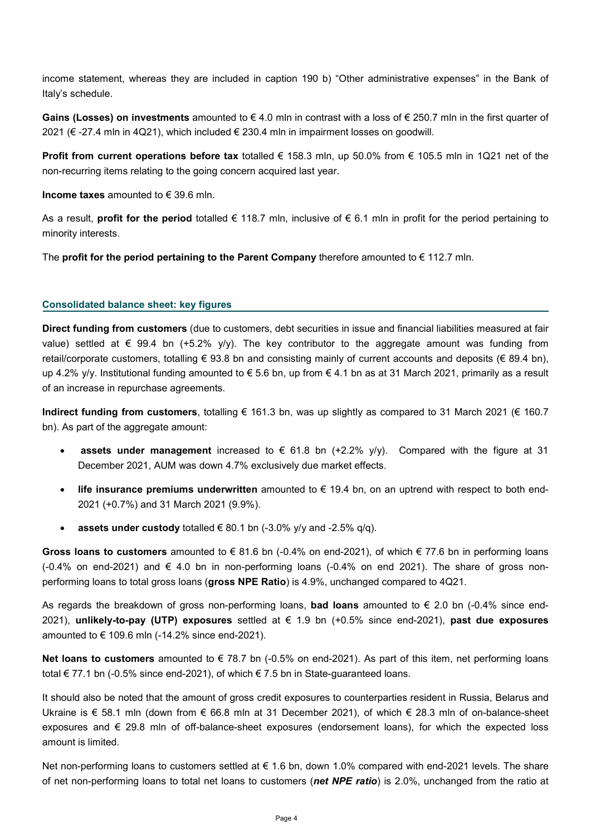income statement, whereas they are included in caption 190 b) "Other administrative expenses" in the Bank of Italy's schedule.

**Gains (Losses) on investments** amounted to € 4.0 mln in contrast with a loss of € 250.7 mln in the first quarter of 2021 (€ -27.4 mln in 4Q21), which included € 230.4 mln in impairment losses on goodwill.

**Profit from current operations before tax** totalled € 158.3 mln, up 50.0% from € 105.5 mln in 1Q21 net of the non-recurring items relating to the going concern acquired last year.

**Income taxes** amounted to € 39.6 mln.

As a result, **profit for the period** totalled € 118.7 mln, inclusive of € 6.1 mln in profit for the period pertaining to minority interests.

The **profit for the period pertaining to the Parent Company** therefore amounted to € 112.7 mln.

#### **Consolidated balance sheet: key figures**

**Direct funding from customers** (due to customers, debt securities in issue and financial liabilities measured at fair value) settled at  $\epsilon$  99.4 bn (+5.2% y/y). The key contributor to the aggregate amount was funding from retail/corporate customers, totalling  $\epsilon$  93.8 bn and consisting mainly of current accounts and deposits ( $\epsilon$  89.4 bn), up 4.2% y/y. Institutional funding amounted to  $\epsilon$  5.6 bn, up from  $\epsilon$  4.1 bn as at 31 March 2021, primarily as a result of an increase in repurchase agreements.

**Indirect funding from customers**, totalling € 161.3 bn, was up slightly as compared to 31 March 2021 (€ 160.7 bn). As part of the aggregate amount:

- **assets under management** increased to  $\epsilon$  61.8 bn (+2.2%  $v/v$ ). Compared with the figure at 31 December 2021, AUM was down 4.7% exclusively due market effects.
- **life insurance premiums underwritten** amounted to  $\epsilon$  19.4 bn, on an uptrend with respect to both end-2021 (+0.7%) and 31 March 2021 (9.9%).
- **assets under custody** totalled € 80.1 bn  $(-3.0\%$  y/y and  $-2.5\%$  q/q).

**Gross loans to customers** amounted to € 81.6 bn (-0.4% on end-2021), of which € 77.6 bn in performing loans  $(-0.4\%$  on end-2021) and  $\xi$  4.0 bn in non-performing loans  $(-0.4\%$  on end 2021). The share of gross nonperforming loans to total gross loans (**gross NPE Ratio**) is 4.9%, unchanged compared to 4Q21.

As regards the breakdown of gross non-performing loans, **bad loans** amounted to € 2.0 bn (-0.4% since end-2021), **unlikely-to-pay (UTP) exposures** settled at € 1.9 bn (+0.5% since end-2021), **past due exposures**  amounted to  $\epsilon$  109.6 mln (-14.2% since end-2021).

**Net loans to customers** amounted to € 78.7 bn (-0.5% on end-2021). As part of this item, net performing loans total € 77.1 bn (-0.5% since end-2021), of which € 7.5 bn in State-guaranteed loans.

It should also be noted that the amount of gross credit exposures to counterparties resident in Russia, Belarus and Ukraine is € 58.1 mln (down from € 66.8 mln at 31 December 2021), of which € 28.3 mln of on-balance-sheet exposures and € 29.8 mln of off-balance-sheet exposures (endorsement loans), for which the expected loss amount is limited.

Net non-performing loans to customers settled at € 1.6 bn, down 1.0% compared with end-2021 levels. The share of net non-performing loans to total net loans to customers (*net NPE ratio*) is 2.0%, unchanged from the ratio at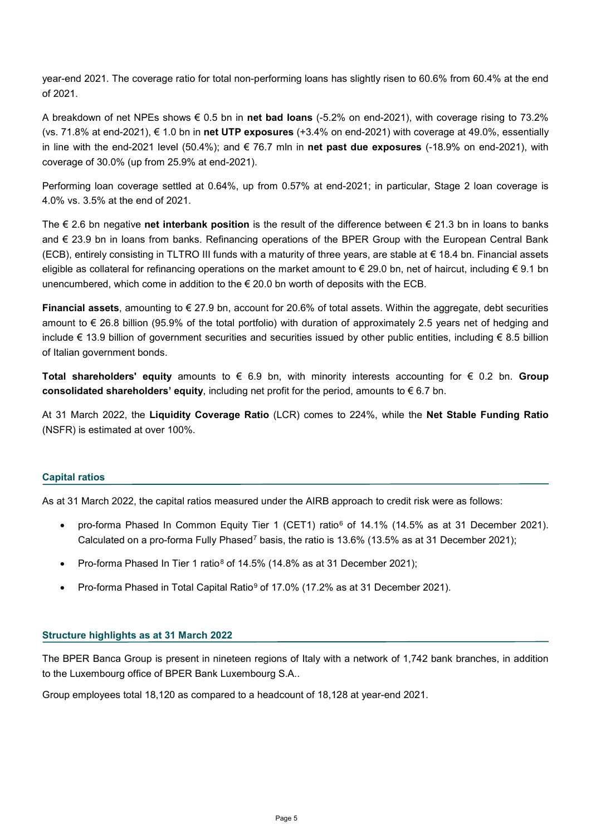year-end 2021. The coverage ratio for total non-performing loans has slightly risen to 60.6% from 60.4% at the end of 2021.

A breakdown of net NPEs shows € 0.5 bn in **net bad loans** (-5.2% on end-2021), with coverage rising to 73.2% (vs. 71.8% at end-2021), € 1.0 bn in **net UTP exposures** (+3.4% on end-2021) with coverage at 49.0%, essentially in line with the end-2021 level (50.4%); and € 76.7 mln in **net past due exposures** (-18.9% on end-2021), with coverage of 30.0% (up from 25.9% at end-2021).

Performing loan coverage settled at 0.64%, up from 0.57% at end-2021; in particular, Stage 2 loan coverage is 4.0% vs. 3.5% at the end of 2021.

The € 2.6 bn negative **net interbank position** is the result of the difference between € 21.3 bn in loans to banks and € 23.9 bn in loans from banks. Refinancing operations of the BPER Group with the European Central Bank (ECB), entirely consisting in TLTRO III funds with a maturity of three years, are stable at € 18.4 bn. Financial assets eligible as collateral for refinancing operations on the market amount to  $\epsilon$  29.0 bn, net of haircut, including  $\epsilon$  9.1 bn unencumbered, which come in addition to the  $\epsilon$  20.0 bn worth of deposits with the ECB.

**Financial assets**, amounting to € 27.9 bn, account for 20.6% of total assets. Within the aggregate, debt securities amount to € 26.8 billion (95.9% of the total portfolio) with duration of approximately 2.5 years net of hedging and include € 13.9 billion of government securities and securities issued by other public entities, including € 8.5 billion of Italian government bonds.

**Total shareholders' equity** amounts to € 6.9 bn, with minority interests accounting for € 0.2 bn. **Group consolidated shareholders' equity**, including net profit for the period, amounts to € 6.7 bn.

At 31 March 2022, the **Liquidity Coverage Ratio** (LCR) comes to 224%, while the **Net Stable Funding Ratio**  (NSFR) is estimated at over 100%.

#### **Capital ratios**

As at 31 March 2022, the capital ratios measured under the AIRB approach to credit risk were as follows:

- pro-forma Phased In Common Equity Tier 1 (CET1) ratio<sup>[6](#page-7-5)</sup> of 14.1% (14.5% as at 31 December 2021). Calculated on a pro-forma Fully Phased<sup>[7](#page-7-6)</sup> basis, the ratio is 13.6% (13.5% as at 31 December 2021);
- Pro-forma Phased In Tier 1 ratio<sup>[8](#page-7-7)</sup> of 14.5% (14.8% as at 31 December 2021);
- Pro-forma Phased in Total Capital Ratio[9](#page-7-8) of 17.0% (17.2% as at 31 December 2021).

#### **Structure highlights as at 31 March 2022**

The BPER Banca Group is present in nineteen regions of Italy with a network of 1,742 bank branches, in addition to the Luxembourg office of BPER Bank Luxembourg S.A..

Group employees total 18,120 as compared to a headcount of 18,128 at year-end 2021.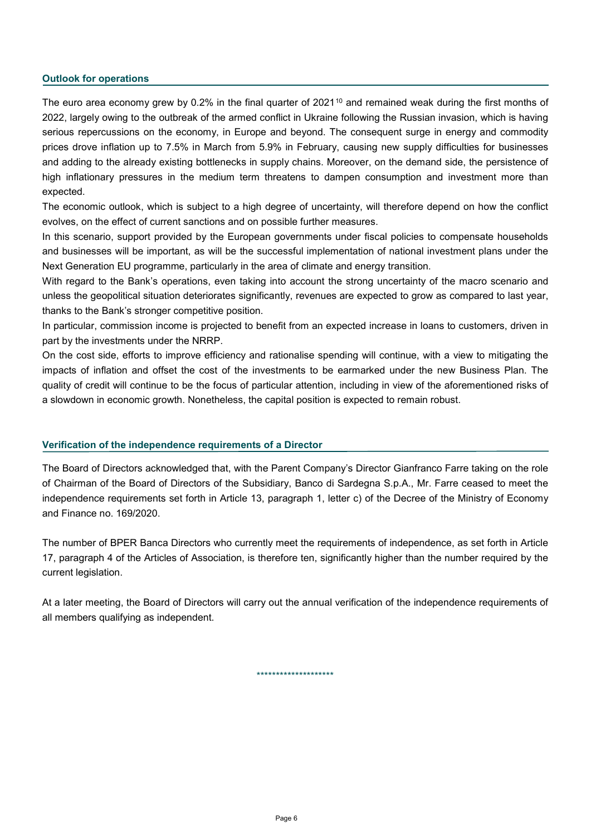#### **Outlook for operations**

The euro area economy grew by 0.2% in the final quarter of 2021<sup>[10](#page-7-9)</sup> and remained weak during the first months of 2022, largely owing to the outbreak of the armed conflict in Ukraine following the Russian invasion, which is having serious repercussions on the economy, in Europe and beyond. The consequent surge in energy and commodity prices drove inflation up to 7.5% in March from 5.9% in February, causing new supply difficulties for businesses and adding to the already existing bottlenecks in supply chains. Moreover, on the demand side, the persistence of high inflationary pressures in the medium term threatens to dampen consumption and investment more than expected.

The economic outlook, which is subject to a high degree of uncertainty, will therefore depend on how the conflict evolves, on the effect of current sanctions and on possible further measures.

In this scenario, support provided by the European governments under fiscal policies to compensate households and businesses will be important, as will be the successful implementation of national investment plans under the Next Generation EU programme, particularly in the area of climate and energy transition.

With regard to the Bank's operations, even taking into account the strong uncertainty of the macro scenario and unless the geopolitical situation deteriorates significantly, revenues are expected to grow as compared to last year, thanks to the Bank's stronger competitive position.

In particular, commission income is projected to benefit from an expected increase in loans to customers, driven in part by the investments under the NRRP.

On the cost side, efforts to improve efficiency and rationalise spending will continue, with a view to mitigating the impacts of inflation and offset the cost of the investments to be earmarked under the new Business Plan. The quality of credit will continue to be the focus of particular attention, including in view of the aforementioned risks of a slowdown in economic growth. Nonetheless, the capital position is expected to remain robust.

#### **Verification of the independence requirements of a Director**

The Board of Directors acknowledged that, with the Parent Company's Director Gianfranco Farre taking on the role of Chairman of the Board of Directors of the Subsidiary, Banco di Sardegna S.p.A., Mr. Farre ceased to meet the independence requirements set forth in Article 13, paragraph 1, letter c) of the Decree of the Ministry of Economy and Finance no. 169/2020.

The number of BPER Banca Directors who currently meet the requirements of independence, as set forth in Article 17, paragraph 4 of the Articles of Association, is therefore ten, significantly higher than the number required by the current legislation.

At a later meeting, the Board of Directors will carry out the annual verification of the independence requirements of all members qualifying as independent.

\*\*\*\*\*\*\*\*\*\*\*\*\*\*\*\*\*\*\*\*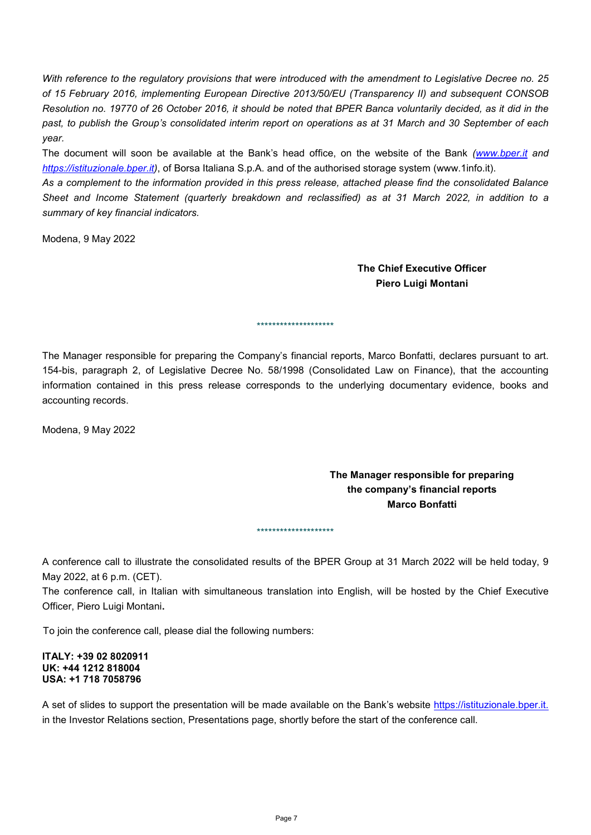*With reference to the regulatory provisions that were introduced with the amendment to Legislative Decree no. 25 of 15 February 2016, implementing European Directive 2013/50/EU (Transparency II) and subsequent CONSOB Resolution no. 19770 of 26 October 2016, it should be noted that BPER Banca voluntarily decided, as it did in the past, to publish the Group's consolidated interim report on operations as at 31 March and 30 September of each year.* 

The document will soon be available at the Bank's head office, on the website of the Bank *[\(www.bper.it](http://www.bper.it/) and [https://istituzionale.bper.it\)](https://istituzionale.bper.it/)*, of Borsa Italiana S.p.A. and of the authorised storage system (www.1info.it).

*As a complement to the information provided in this press release, attached please find the consolidated Balance Sheet and Income Statement (quarterly breakdown and reclassified) as at 31 March 2022, in addition to a summary of key financial indicators.*

Modena, 9 May 2022

**The Chief Executive Officer Piero Luigi Montani**

The Manager responsible for preparing the Company's financial reports, Marco Bonfatti, declares pursuant to art. 154-bis, paragraph 2, of Legislative Decree No. 58/1998 (Consolidated Law on Finance), that the accounting information contained in this press release corresponds to the underlying documentary evidence, books and accounting records.

\*\*\*\*\*\*\*\*\*\*\*\*\*\*\*\*\*\*\*\*

Modena, 9 May 2022

## **The Manager responsible for preparing the company's financial reports Marco Bonfatti**

\*\*\*\*\*\*\*\*\*\*\*\*\*\*\*\*\*\*\*\*

A conference call to illustrate the consolidated results of the BPER Group at 31 March 2022 will be held today, 9 May 2022, at 6 p.m. (CET).

The conference call, in Italian with simultaneous translation into English, will be hosted by the Chief Executive Officer, Piero Luigi Montani**.**

To join the conference call, please dial the following numbers:

#### **ITALY: +39 02 8020911 UK: +44 1212 818004 USA: +1 718 7058796**

A set of slides to support the presentation will be made available on the Bank's website [https://istituzionale.bper.it.](https://istituzionale.bper.it/) in the Investor Relations section, Presentations page, shortly before the start of the conference call.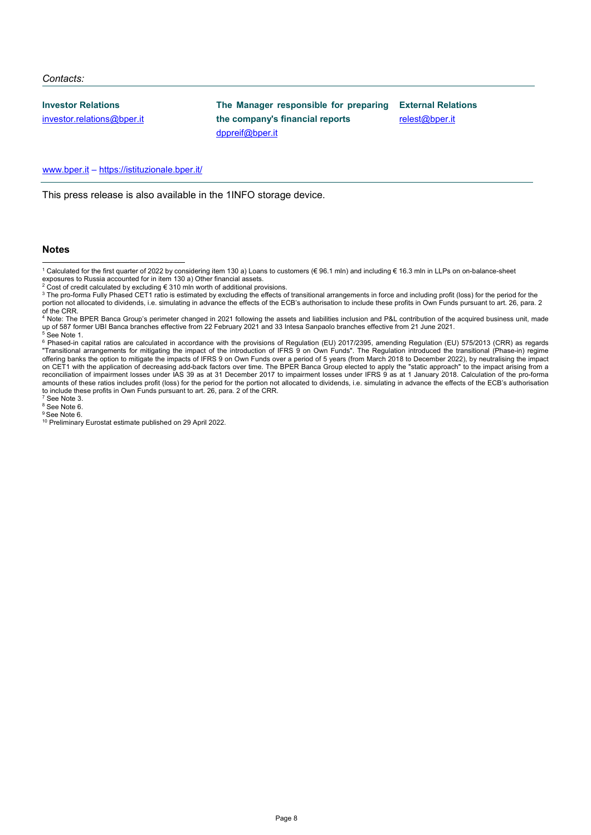#### *Contacts:*

**Investor Relations**

[investor.relations@bper.it](mailto:investor.relations@bper.it)

**The Manager responsible for preparing the company's financial reports** [dppreif@bper.it](mailto:dppreif@bper.it)

**External Relations** [relest@bper.it](mailto:relest@bper.it)

[www.bper.it](http://www.bper.it/) – https://istituzionale.bper.it/

This press release is also available in the 1INFO storage device.

#### **Notes**

<span id="page-7-8"></span><span id="page-7-7"></span><span id="page-7-6"></span><sup>8</sup> See Note 6. <sup>9</sup> See Note 6.

<span id="page-7-0"></span> <sup>1</sup> Calculated for the first quarter of 2022 by considering item 130 a) Loans to customers (€ 96.1 mln) and including € 16.3 mln in LLPs on on-balance-sheet

exposures to Russia accounted for in item 130 a) Other financial assets.<br><sup>2</sup> Cost of credit calculated by excluding € 310 mln worth of additional provisions.

<span id="page-7-2"></span><span id="page-7-1"></span><sup>&</sup>lt;sup>3</sup> The pro-forma Fully Phased CET1 ratio is estimated by excluding the effects of transitional arrangements in force and including profit (loss) for the period for the portion not allocated to dividends, i.e. simulating in advance the effects of the ECB's authorisation to include these profits in Own Funds pursuant to art. 26, para. 2

<span id="page-7-3"></span>of the CRR.<br><sup>4</sup> Note: The BPER Banca Group's perimeter changed in 2021 following the assets and liabilities inclusion and P&L contribution of the acquired business unit, made up of 587 former UBI Banca branches effective from 22 February 2021 and 33 Intesa Sanpaolo branches effective from 21 June 2021.  $5$  See Note 1.

<span id="page-7-5"></span><span id="page-7-4"></span> $^6$  Phased-in capital ratios are calculated in accordance with the provisions of Regulation (EU) 2017/2395, amending Regulation (EU) 575/2013 (CRR) as regards "Transitional arrangements for mitigating the impact of the introduction of IFRS 9 on Own Funds". The Regulation introduced the transitional (Phase-in) regime offering banks the option to mitigate the impacts of IFRS 9 on Own Funds over a period of 5 years (from March 2018 to December 2022), by neutralising the impact on CET1 with the application of decreasing add-back factors over time. The BPER Banca Group elected to apply the "static approach" to the impact arising from a reconciliation of impairment losses under IAS 39 as at 31 December 2017 to impairment losses under IFRS 9 as at 1 January 2018. Calculation of the pro-forma amounts of these ratios includes profit (loss) for the period for the portion not allocated to dividends, i.e. simulating in advance the effects of the ECB's authorisation to include these profits in Own Funds pursuant to art. 26, para. 2 of the CRR.<br><sup>7</sup> See Note 3.

<span id="page-7-9"></span><sup>10</sup> Preliminary Eurostat estimate published on 29 April 2022.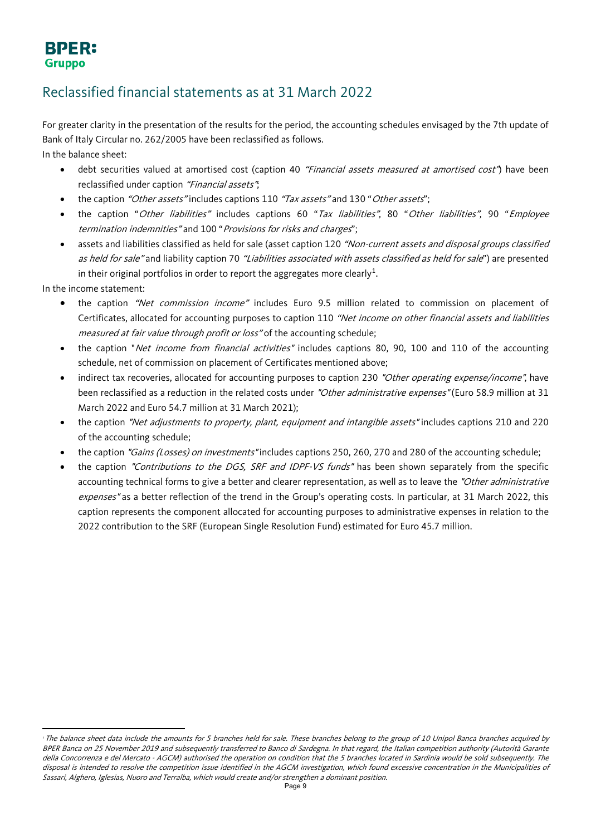## **BPER: Gruppo**

## Reclassified financial statements as at 31 March 2022

For greater clarity in the presentation of the results for the period, the accounting schedules envisaged by the 7th update of Bank of Italy Circular no. 262/2005 have been reclassified as follows. In the balance sheet:

- debt securities valued at amortised cost (caption 40 "Financial assets measured at amortised cost") have been reclassified under caption "Financial assets";
- the caption "Other assets" includes captions 110 "Tax assets" and 130 "Other assets";
- the caption "Other liabilities" includes captions 60 "Tax liabilities", 80 "Other liabilities", 90 "Employee termination indemnities" and 100 "Provisions for risks and charges";
- assets and liabilities classified as held for sale (asset caption 120 "Non-current assets and disposal groups classified as held for sale" and liability caption 70 "Liabilities associated with assets classified as held for sale") are presented in their original portfolios in order to report the aggregates more clearly $^1\!\!$  $^1\!\!$  $^1\!\!$  .

In the income statement:

 $\overline{a}$ 

- the caption "Net commission income" includes Euro 9.5 million related to commission on placement of Certificates, allocated for accounting purposes to caption 110 "Net income on other financial assets and liabilities measured at fair value through profit or loss" of the accounting schedule;
- the caption "Net income from financial activities" includes captions 80, 90, 100 and 110 of the accounting schedule, net of commission on placement of Certificates mentioned above;
- indirect tax recoveries, allocated for accounting purposes to caption 230 "Other operating expense/income", have been reclassified as a reduction in the related costs under "Other administrative expenses" (Euro 58.9 million at 31 March 2022 and Euro 54.7 million at 31 March 2021);
- the caption "Net adjustments to property, plant, equipment and intangible assets" includes captions 210 and 220 of the accounting schedule;
- the caption "Gains (Losses) on investments" includes captions 250, 260, 270 and 280 of the accounting schedule;
- the caption "Contributions to the DGS, SRF and IDPF-VS funds" has been shown separately from the specific accounting technical forms to give a better and clearer representation, as well as to leave the "Other administrative expenses" as a better reflection of the trend in the Group's operating costs. In particular, at 31 March 2022, this caption represents the component allocated for accounting purposes to administrative expenses in relation to the 2022 contribution to the SRF (European Single Resolution Fund) estimated for Euro 45.7 million.

<span id="page-8-0"></span><sup>&</sup>lt;sup>1</sup> The balance sheet data include the amounts for 5 branches held for sale. These branches belong to the group of 10 Unipol Banca branches acquired by BPER Banca on 25 November 2019 and subsequently transferred to Banco di Sardegna. In that regard, the Italian competition authority (Autorità Garante della Concorrenza e del Mercato - AGCM) authorised the operation on condition that the 5 branches located in Sardinia would be sold subsequently. The disposal is intended to resolve the competition issue identified in the AGCM investigation, which found excessive concentration in the Municipalities of Sassari, Alghero, Iglesias, Nuoro and Terralba, which would create and/or strengthen a dominant position.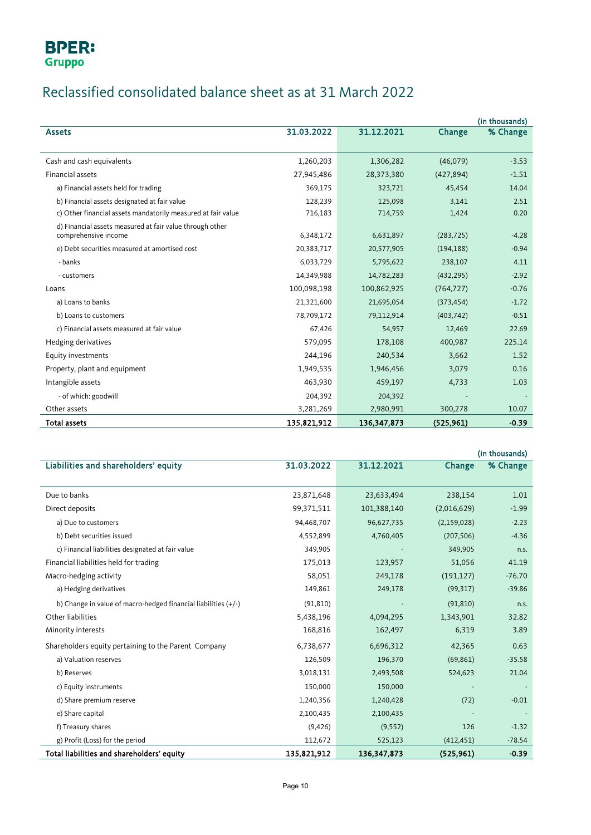# Reclassified consolidated balance sheet as at 31 March 2022

|                                                              |             |               |            | (in thousands) |
|--------------------------------------------------------------|-------------|---------------|------------|----------------|
| <b>Assets</b>                                                | 31.03.2022  | 31.12.2021    | Change     | % Change       |
|                                                              |             |               |            |                |
| Cash and cash equivalents                                    | 1,260,203   | 1,306,282     | (46,079)   | $-3.53$        |
| Financial assets                                             | 27,945,486  | 28,373,380    | (427, 894) | $-1.51$        |
| a) Financial assets held for trading                         | 369,175     | 323,721       | 45,454     | 14.04          |
| b) Financial assets designated at fair value                 | 128,239     | 125,098       | 3,141      | 2.51           |
| c) Other financial assets mandatorily measured at fair value | 716,183     | 714,759       | 1,424      | 0.20           |
| d) Financial assets measured at fair value through other     |             |               |            |                |
| comprehensive income                                         | 6,348,172   | 6,631,897     | (283, 725) | $-4.28$        |
| e) Debt securities measured at amortised cost                | 20,383,717  | 20,577,905    | (194, 188) | $-0.94$        |
| - banks                                                      | 6,033,729   | 5,795,622     | 238,107    | 4.11           |
| - customers                                                  | 14,349,988  | 14,782,283    | (432, 295) | $-2.92$        |
| Loans                                                        | 100,098,198 | 100,862,925   | (764, 727) | $-0.76$        |
| a) Loans to banks                                            | 21,321,600  | 21,695,054    | (373, 454) | $-1.72$        |
| b) Loans to customers                                        | 78,709,172  | 79,112,914    | (403, 742) | $-0.51$        |
| c) Financial assets measured at fair value                   | 67,426      | 54,957        | 12,469     | 22.69          |
| Hedging derivatives                                          | 579,095     | 178,108       | 400,987    | 225.14         |
| Equity investments                                           | 244,196     | 240,534       | 3,662      | 1.52           |
| Property, plant and equipment                                | 1,949,535   | 1,946,456     | 3,079      | 0.16           |
| Intangible assets                                            | 463,930     | 459,197       | 4,733      | 1.03           |
| - of which: goodwill                                         | 204,392     | 204,392       |            |                |
| Other assets                                                 | 3,281,269   | 2,980,991     | 300,278    | 10.07          |
| <b>Total assets</b>                                          | 135,821,912 | 136, 347, 873 | (525, 961) | $-0.39$        |

|                                                                  |             |               |               | (in thousands) |
|------------------------------------------------------------------|-------------|---------------|---------------|----------------|
| Liabilities and shareholders' equity                             | 31.03.2022  | 31.12.2021    | Change        | % Change       |
|                                                                  |             |               |               |                |
| Due to banks                                                     | 23,871,648  | 23,633,494    | 238,154       | 1.01           |
| Direct deposits                                                  | 99,371,511  | 101,388,140   | (2,016,629)   | $-1.99$        |
| a) Due to customers                                              | 94,468,707  | 96,627,735    | (2, 159, 028) | $-2.23$        |
| b) Debt securities issued                                        | 4,552,899   | 4,760,405     | (207, 506)    | $-4.36$        |
| c) Financial liabilities designated at fair value                | 349,905     |               | 349,905       | n.s.           |
| Financial liabilities held for trading                           | 175,013     | 123,957       | 51,056        | 41.19          |
| Macro-hedging activity                                           | 58,051      | 249,178       | (191, 127)    | $-76.70$       |
| a) Hedging derivatives                                           | 149,861     | 249,178       | (99, 317)     | $-39.86$       |
| b) Change in value of macro-hedged financial liabilities $(+/-)$ | (91, 810)   |               | (91, 810)     | n.s.           |
| Other liabilities                                                | 5,438,196   | 4,094,295     | 1,343,901     | 32.82          |
| Minority interests                                               | 168,816     | 162,497       | 6,319         | 3.89           |
| Shareholders equity pertaining to the Parent Company             | 6,738,677   | 6,696,312     | 42,365        | 0.63           |
| a) Valuation reserves                                            | 126,509     | 196,370       | (69, 861)     | $-35.58$       |
| b) Reserves                                                      | 3,018,131   | 2,493,508     | 524,623       | 21.04          |
| c) Equity instruments                                            | 150,000     | 150,000       |               |                |
| d) Share premium reserve                                         | 1,240,356   | 1,240,428     | (72)          | $-0.01$        |
| e) Share capital                                                 | 2,100,435   | 2,100,435     |               |                |
| f) Treasury shares                                               | (9,426)     | (9, 552)      | 126           | $-1.32$        |
| g) Profit (Loss) for the period                                  | 112,672     | 525,123       | (412, 451)    | $-78.54$       |
| Total liabilities and shareholders' equity                       | 135,821,912 | 136, 347, 873 | (525, 961)    | $-0.39$        |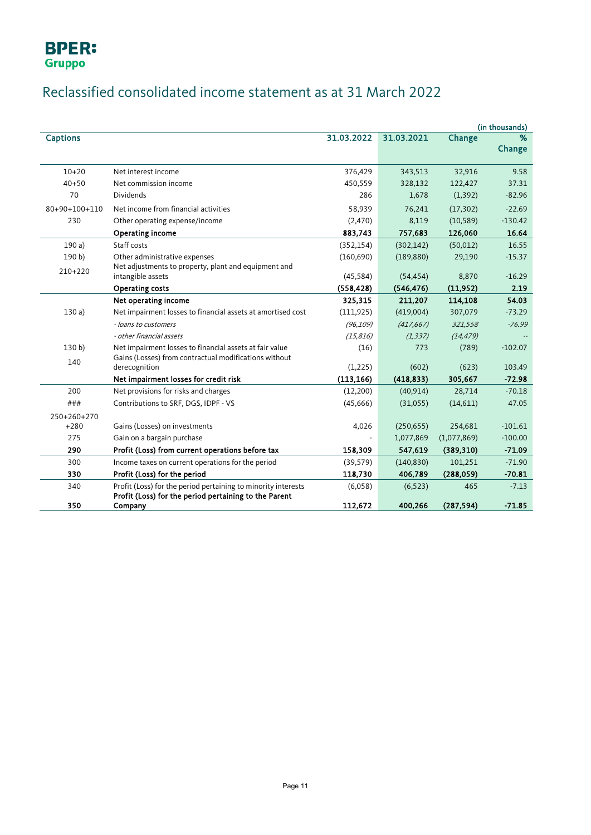

# Reclassified consolidated income statement as at 31 March 2022

|                  |                                                                                                                        |            |            |             | (in thousands) |
|------------------|------------------------------------------------------------------------------------------------------------------------|------------|------------|-------------|----------------|
| <b>Captions</b>  |                                                                                                                        | 31.03.2022 | 31.03.2021 | Change      | ℅              |
|                  |                                                                                                                        |            |            |             | Change         |
| $10 + 20$        | Net interest income                                                                                                    | 376,429    | 343,513    | 32,916      | 9.58           |
| $40 + 50$        | Net commission income                                                                                                  | 450,559    | 328,132    | 122,427     | 37.31          |
| 70               | <b>Dividends</b>                                                                                                       | 286        | 1,678      | (1, 392)    | $-82.96$       |
| 80+90+100+110    | Net income from financial activities                                                                                   | 58,939     | 76,241     | (17, 302)   | $-22.69$       |
| 230              | Other operating expense/income                                                                                         | (2,470)    | 8,119      | (10, 589)   | $-130.42$      |
|                  | Operating income                                                                                                       | 883,743    | 757,683    | 126,060     | 16.64          |
| 190a)            | Staff costs                                                                                                            | (352, 154) | (302, 142) | (50, 012)   | 16.55          |
| 190 b)           | Other administrative expenses                                                                                          | (160,690)  | (189, 880) | 29,190      | $-15.37$       |
|                  | Net adjustments to property, plant and equipment and                                                                   |            |            |             |                |
| $210+220$        | intangible assets                                                                                                      | (45, 584)  | (54, 454)  | 8,870       | $-16.29$       |
|                  | <b>Operating costs</b>                                                                                                 | (558, 428) | (546, 476) | (11, 952)   | 2.19           |
|                  | Net operating income                                                                                                   | 325,315    | 211,207    | 114,108     | 54.03          |
| 130a)            | Net impairment losses to financial assets at amortised cost                                                            | (111, 925) | (419,004)  | 307,079     | $-73.29$       |
|                  | - loans to customers                                                                                                   | (96, 109)  | (417, 667) | 321,558     | $-76.99$       |
|                  | - other financial assets                                                                                               | (15, 816)  | (1, 337)   | (14, 479)   |                |
| 130 <sub>b</sub> | Net impairment losses to financial assets at fair value                                                                | (16)       | 773        | (789)       | $-102.07$      |
| 140              | Gains (Losses) from contractual modifications without                                                                  |            |            |             |                |
|                  | derecognition                                                                                                          | (1,225)    | (602)      | (623)       | 103.49         |
|                  | Net impairment losses for credit risk                                                                                  | (113, 166) | (418, 833) | 305,667     | $-72.98$       |
| 200              | Net provisions for risks and charges                                                                                   | (12,200)   | (40, 914)  | 28,714      | $-70.18$       |
| ###              | Contributions to SRF, DGS, IDPF - VS                                                                                   | (45,666)   | (31,055)   | (14,611)    | 47.05          |
| 250+260+270      |                                                                                                                        |            |            |             |                |
| $+280$           | Gains (Losses) on investments                                                                                          | 4,026      | (250, 655) | 254,681     | $-101.61$      |
| 275              | Gain on a bargain purchase                                                                                             |            | 1,077,869  | (1,077,869) | $-100.00$      |
| 290              | Profit (Loss) from current operations before tax                                                                       | 158,309    | 547,619    | (389, 310)  | $-71.09$       |
| 300              | Income taxes on current operations for the period                                                                      | (39, 579)  | (140, 830) | 101,251     | $-71.90$       |
| 330              | Profit (Loss) for the period                                                                                           | 118,730    | 406,789    | (288,059)   | $-70.81$       |
| 340              | Profit (Loss) for the period pertaining to minority interests<br>Profit (Loss) for the period pertaining to the Parent | (6,058)    | (6, 523)   | 465         | $-7.13$        |
| 350              | Company                                                                                                                | 112,672    | 400,266    | (287, 594)  | $-71.85$       |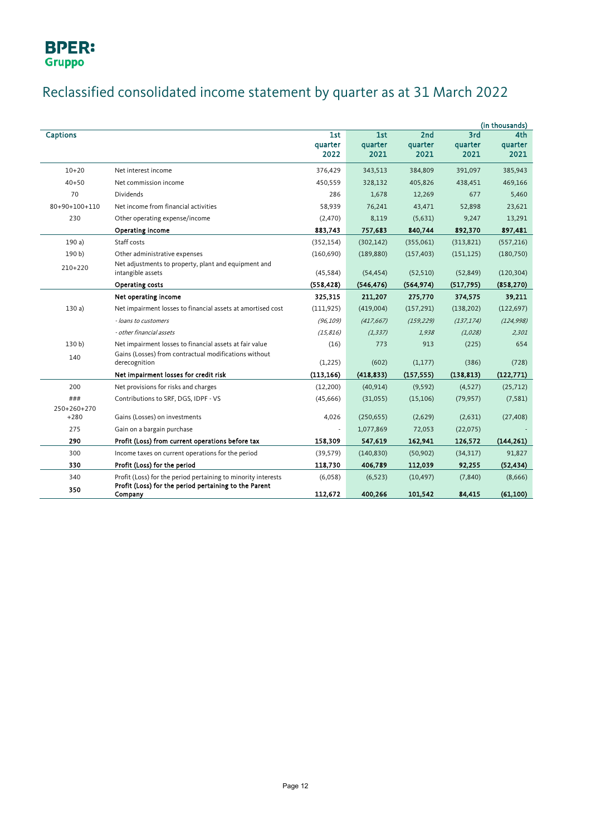# Reclassified consolidated income statement by quarter as at 31 March 2022

|                       |                                                                                                                        |                        |                        |                        |                        | (in thousands)         |
|-----------------------|------------------------------------------------------------------------------------------------------------------------|------------------------|------------------------|------------------------|------------------------|------------------------|
| <b>Captions</b>       |                                                                                                                        | 1st<br>quarter<br>2022 | 1st<br>quarter<br>2021 | 2nd<br>quarter<br>2021 | 3rd<br>quarter<br>2021 | 4th<br>quarter<br>2021 |
| $10 + 20$             | Net interest income                                                                                                    | 376,429                | 343,513                | 384,809                | 391,097                | 385,943                |
| $40 + 50$             | Net commission income                                                                                                  | 450,559                | 328,132                | 405,826                | 438,451                | 469,166                |
| 70                    | <b>Dividends</b>                                                                                                       | 286                    | 1,678                  | 12,269                 | 677                    | 5,460                  |
| 80+90+100+110         | Net income from financial activities                                                                                   | 58,939                 | 76,241                 | 43,471                 | 52,898                 | 23,621                 |
| 230                   | Other operating expense/income                                                                                         | (2,470)                | 8,119                  | (5,631)                | 9,247                  | 13,291                 |
|                       | Operating income                                                                                                       | 883,743                | 757,683                | 840,744                | 892,370                | 897,481                |
| 190a)                 | Staff costs                                                                                                            | (352, 154)             | (302, 142)             | (355,061)              | (313, 821)             | (557, 216)             |
| 190 b)                | Other administrative expenses                                                                                          | (160, 690)             | (189, 880)             | (157, 403)             | (151, 125)             | (180, 750)             |
| 210+220               | Net adjustments to property, plant and equipment and<br>intangible assets                                              | (45, 584)              | (54, 454)              | (52, 510)              | (52, 849)              | (120, 304)             |
|                       | Operating costs                                                                                                        | (558, 428)             | (546, 476)             | (564, 974)             | (517, 795)             | (858, 270)             |
|                       | Net operating income                                                                                                   | 325,315                | 211,207                | 275,770                | 374,575                | 39,211                 |
| 130a                  | Net impairment losses to financial assets at amortised cost                                                            | (111, 925)             | (419,004)              | (157, 291)             | (138, 202)             | (122, 697)             |
|                       | - loans to customers                                                                                                   | (96, 109)              | (417, 667)             | (159, 229)             | (137, 174)             | (124, 998)             |
|                       | - other financial assets                                                                                               | (15, 816)              | (1, 337)               | 1,938                  | (1,028)                | 2,301                  |
| 130 <sub>b</sub>      | Net impairment losses to financial assets at fair value                                                                | (16)                   | 773                    | 913                    | (225)                  | 654                    |
| 140                   | Gains (Losses) from contractual modifications without<br>derecognition                                                 | (1,225)                | (602)                  | (1, 177)               | (386)                  | (728)                  |
|                       | Net impairment losses for credit risk                                                                                  | (113, 166)             | (418, 833)             | (157, 555)             | (138, 813)             | (122, 771)             |
| 200                   | Net provisions for risks and charges                                                                                   | (12,200)               | (40, 914)              | (9,592)                | (4,527)                | (25, 712)              |
| ###                   | Contributions to SRF, DGS, IDPF - VS                                                                                   | (45,666)               | (31,055)               | (15, 106)              | (79, 957)              | (7, 581)               |
| 250+260+270<br>$+280$ | Gains (Losses) on investments                                                                                          | 4,026                  | (250, 655)             | (2,629)                | (2,631)                | (27, 408)              |
| 275                   | Gain on a bargain purchase                                                                                             | $\blacksquare$         | 1,077,869              | 72,053                 | (22,075)               |                        |
| 290                   | Profit (Loss) from current operations before tax                                                                       | 158,309                | 547,619                | 162,941                | 126,572                | (144, 261)             |
| 300                   | Income taxes on current operations for the period                                                                      | (39, 579)              | (140, 830)             | (50, 902)              | (34, 317)              | 91,827                 |
| 330                   | Profit (Loss) for the period                                                                                           | 118,730                | 406,789                | 112,039                | 92,255                 | (52, 434)              |
| 340                   | Profit (Loss) for the period pertaining to minority interests<br>Profit (Loss) for the period pertaining to the Parent | (6,058)                | (6, 523)               | (10, 497)              | (7, 840)               | (8,666)                |
| 350                   | Company                                                                                                                | 112,672                | 400,266                | 101,542                | 84,415                 | (61, 100)              |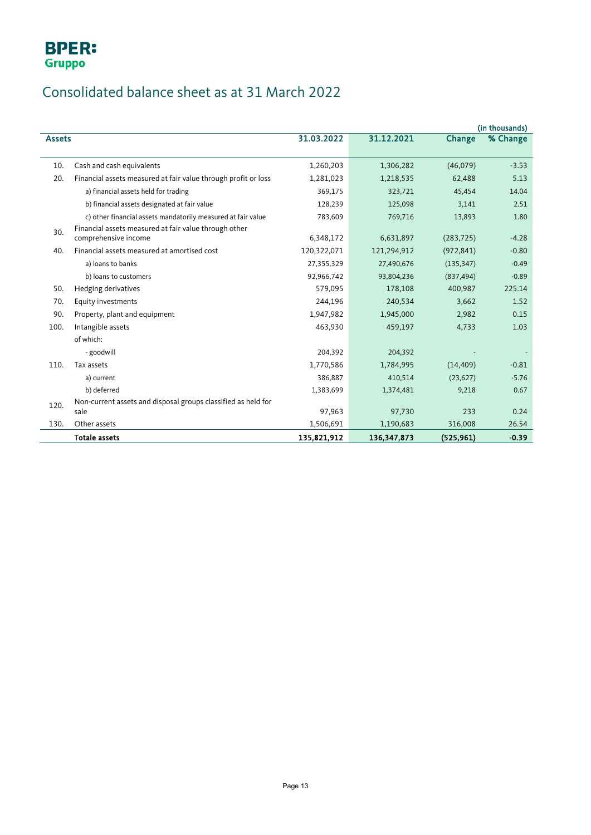# Consolidated balance sheet as at 31 March 2022

|               |                                                                |             |               |            | (in thousands) |
|---------------|----------------------------------------------------------------|-------------|---------------|------------|----------------|
| <b>Assets</b> |                                                                | 31.03.2022  | 31.12.2021    | Change     | % Change       |
|               |                                                                |             |               |            |                |
| 10.           | Cash and cash equivalents                                      | 1,260,203   | 1,306,282     | (46,079)   | $-3.53$        |
| 20.           | Financial assets measured at fair value through profit or loss | 1,281,023   | 1,218,535     | 62,488     | 5.13           |
|               | a) financial assets held for trading                           | 369,175     | 323,721       | 45,454     | 14.04          |
|               | b) financial assets designated at fair value                   | 128,239     | 125,098       | 3,141      | 2.51           |
|               | c) other financial assets mandatorily measured at fair value   | 783,609     | 769,716       | 13,893     | 1.80           |
| 30.           | Financial assets measured at fair value through other          |             |               |            |                |
|               | comprehensive income                                           | 6,348,172   | 6,631,897     | (283, 725) | $-4.28$        |
| 40.           | Financial assets measured at amortised cost                    | 120,322,071 | 121,294,912   | (972, 841) | $-0.80$        |
|               | a) loans to banks                                              | 27,355,329  | 27,490,676    | (135, 347) | $-0.49$        |
|               | b) loans to customers                                          | 92,966,742  | 93,804,236    | (837, 494) | $-0.89$        |
| 50.           | Hedging derivatives                                            | 579,095     | 178,108       | 400,987    | 225.14         |
| 70.           | Equity investments                                             | 244,196     | 240,534       | 3,662      | 1.52           |
| 90.           | Property, plant and equipment                                  | 1,947,982   | 1,945,000     | 2,982      | 0.15           |
| 100.          | Intangible assets                                              | 463,930     | 459,197       | 4,733      | 1.03           |
|               | of which:                                                      |             |               |            |                |
|               | - goodwill                                                     | 204,392     | 204,392       |            |                |
| 110.          | Tax assets                                                     | 1,770,586   | 1,784,995     | (14, 409)  | $-0.81$        |
|               | a) current                                                     | 386,887     | 410,514       | (23, 627)  | $-5.76$        |
|               | b) deferred                                                    | 1,383,699   | 1,374,481     | 9,218      | 0.67           |
| 120.          | Non-current assets and disposal groups classified as held for  |             |               |            |                |
|               | sale                                                           | 97,963      | 97,730        | 233        | 0.24           |
| 130.          | Other assets                                                   | 1,506,691   | 1,190,683     | 316,008    | 26.54          |
|               | <b>Totale assets</b>                                           | 135,821,912 | 136, 347, 873 | (525, 961) | $-0.39$        |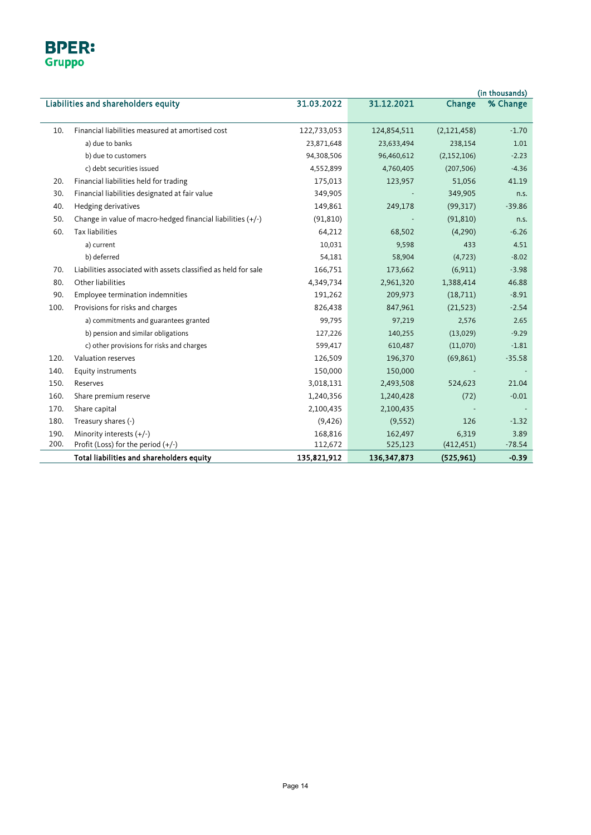## **BPER:** Gruppo

|      | (in thousands)                                                 |             |               |               |          |
|------|----------------------------------------------------------------|-------------|---------------|---------------|----------|
|      | Liabilities and shareholders equity                            | 31.03.2022  | 31.12.2021    | Change        | % Change |
|      |                                                                |             |               |               |          |
| 10.  | Financial liabilities measured at amortised cost               | 122,733,053 | 124,854,511   | (2, 121, 458) | $-1.70$  |
|      | a) due to banks                                                | 23,871,648  | 23,633,494    | 238,154       | 1.01     |
|      | b) due to customers                                            | 94,308,506  | 96,460,612    | (2, 152, 106) | $-2.23$  |
|      | c) debt securities issued                                      | 4,552,899   | 4,760,405     | (207, 506)    | $-4.36$  |
| 20.  | Financial liabilities held for trading                         | 175,013     | 123,957       | 51,056        | 41.19    |
| 30.  | Financial liabilities designated at fair value                 | 349,905     |               | 349,905       | n.s.     |
| 40.  | Hedging derivatives                                            | 149,861     | 249,178       | (99, 317)     | $-39.86$ |
| 50.  | Change in value of macro-hedged financial liabilities (+/-)    | (91, 810)   |               | (91, 810)     | n.s.     |
| 60.  | <b>Tax liabilities</b>                                         | 64,212      | 68,502        | (4,290)       | $-6.26$  |
|      | a) current                                                     | 10,031      | 9,598         | 433           | 4.51     |
|      | b) deferred                                                    | 54,181      | 58,904        | (4, 723)      | $-8.02$  |
| 70.  | Liabilities associated with assets classified as held for sale | 166,751     | 173,662       | (6, 911)      | $-3.98$  |
| 80.  | Other liabilities                                              | 4,349,734   | 2,961,320     | 1,388,414     | 46.88    |
| 90.  | Employee termination indemnities                               | 191,262     | 209,973       | (18,711)      | $-8.91$  |
| 100. | Provisions for risks and charges                               | 826,438     | 847,961       | (21, 523)     | $-2.54$  |
|      | a) commitments and guarantees granted                          | 99,795      | 97,219        | 2,576         | 2.65     |
|      | b) pension and similar obligations                             | 127,226     | 140,255       | (13,029)      | $-9.29$  |
|      | c) other provisions for risks and charges                      | 599,417     | 610,487       | (11,070)      | $-1.81$  |
| 120. | Valuation reserves                                             | 126,509     | 196,370       | (69, 861)     | $-35.58$ |
| 140. | Equity instruments                                             | 150,000     | 150,000       |               |          |
| 150. | Reserves                                                       | 3,018,131   | 2,493,508     | 524,623       | 21.04    |
| 160. | Share premium reserve                                          | 1,240,356   | 1,240,428     | (72)          | $-0.01$  |
| 170. | Share capital                                                  | 2,100,435   | 2,100,435     |               |          |
| 180. | Treasury shares (-)                                            | (9,426)     | (9, 552)      | 126           | $-1.32$  |
| 190. | Minority interests $(+/-)$                                     | 168,816     | 162,497       | 6,319         | 3.89     |
| 200. | Profit (Loss) for the period (+/-)                             | 112,672     | 525,123       | (412, 451)    | $-78.54$ |
|      | Total liabilities and shareholders equity                      | 135,821,912 | 136, 347, 873 | (525, 961)    | $-0.39$  |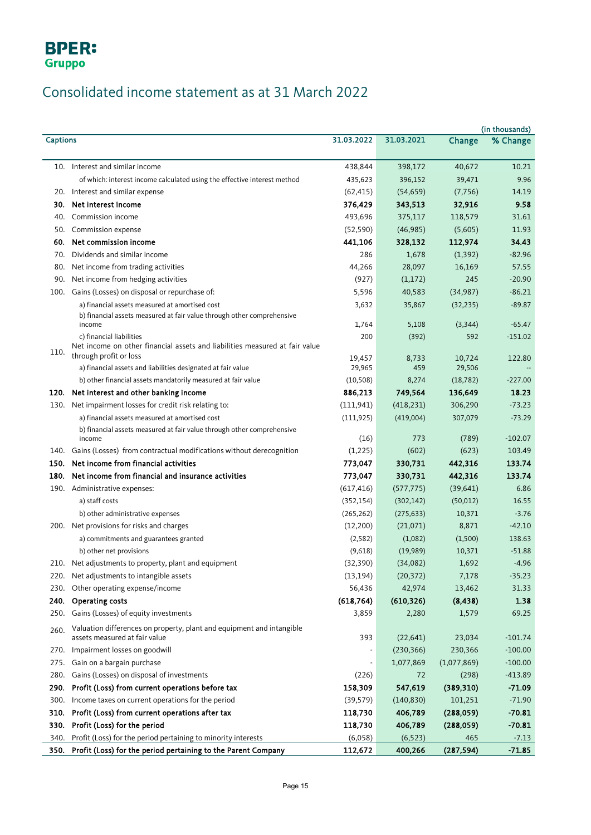# Consolidated income statement as at 31 March 2022

|                 |                                                                                                         |            |            |             | (in thousands) |
|-----------------|---------------------------------------------------------------------------------------------------------|------------|------------|-------------|----------------|
| <b>Captions</b> |                                                                                                         | 31.03.2022 | 31.03.2021 | Change      | % Change       |
|                 | 10. Interest and similar income                                                                         | 438,844    | 398,172    | 40,672      | 10.21          |
|                 | of which: interest income calculated using the effective interest method                                | 435,623    | 396,152    | 39,471      | 9.96           |
|                 | 20. Interest and similar expense                                                                        | (62, 415)  | (54, 659)  | (7, 756)    | 14.19          |
|                 | 30. Net interest income                                                                                 | 376,429    | 343,513    | 32,916      | 9.58           |
| 40.             | Commission income                                                                                       | 493,696    | 375,117    | 118,579     | 31.61          |
|                 | 50. Commission expense                                                                                  | (52, 590)  | (46, 985)  | (5,605)     | 11.93          |
|                 | 60. Net commission income                                                                               | 441,106    | 328,132    | 112,974     | 34.43          |
| 70.             | Dividends and similar income                                                                            | 286        | 1,678      | (1, 392)    | $-82.96$       |
| 80.             | Net income from trading activities                                                                      | 44,266     | 28,097     | 16,169      | 57.55          |
| 90.             | Net income from hedging activities                                                                      | (927)      | (1, 172)   | 245         | $-20.90$       |
|                 | 100. Gains (Losses) on disposal or repurchase of:                                                       | 5,596      | 40,583     | (34, 987)   | $-86.21$       |
|                 | a) financial assets measured at amortised cost                                                          | 3,632      | 35,867     | (32, 235)   | $-89.87$       |
|                 | b) financial assets measured at fair value through other comprehensive                                  |            |            |             |                |
|                 | income                                                                                                  | 1,764      | 5,108      | (3, 344)    | $-65.47$       |
|                 | c) financial liabilities<br>Net income on other financial assets and liabilities measured at fair value | 200        | (392)      | 592         | $-151.02$      |
| 110.            | through profit or loss                                                                                  | 19,457     | 8,733      | 10,724      | 122.80         |
|                 | a) financial assets and liabilities designated at fair value                                            | 29,965     | 459        | 29,506      |                |
|                 | b) other financial assets mandatorily measured at fair value                                            | (10, 508)  | 8,274      | (18, 782)   | $-227.00$      |
|                 | 120. Net interest and other banking income                                                              | 886,213    | 749,564    | 136,649     | 18.23          |
|                 | 130. Net impairment losses for credit risk relating to:                                                 | (111, 941) | (418, 231) | 306,290     | $-73.23$       |
|                 | a) financial assets measured at amortised cost                                                          | (111, 925) | (419,004)  | 307,079     | $-73.29$       |
|                 | b) financial assets measured at fair value through other comprehensive                                  |            |            |             |                |
|                 | income                                                                                                  | (16)       | 773        | (789)       | $-102.07$      |
|                 | 140. Gains (Losses) from contractual modifications without derecognition                                | (1,225)    | (602)      | (623)       | 103.49         |
|                 | 150. Net income from financial activities                                                               | 773,047    | 330,731    | 442,316     | 133.74         |
|                 | 180. Net income from financial and insurance activities                                                 | 773,047    | 330,731    | 442,316     | 133.74         |
|                 | 190. Administrative expenses:                                                                           | (617, 416) | (577, 775) | (39, 641)   | 6.86           |
|                 | a) staff costs                                                                                          | (352, 154) | (302, 142) | (50, 012)   | 16.55          |
|                 | b) other administrative expenses                                                                        | (265, 262) | (275, 633) | 10,371      | $-3.76$        |
|                 | 200. Net provisions for risks and charges                                                               | (12,200)   | (21,071)   | 8,871       | $-42.10$       |
|                 | a) commitments and guarantees granted                                                                   | (2,582)    | (1,082)    | (1,500)     | 138.63         |
|                 | b) other net provisions                                                                                 | (9,618)    | (19,989)   | 10,371      | $-51.88$       |
|                 | 210. Net adjustments to property, plant and equipment                                                   | (32, 390)  | (34,082)   | 1,692       | $-4.96$        |
| 220.            | Net adjustments to intangible assets                                                                    | (13, 194)  | (20, 372)  | 7,178       | $-35.23$       |
| 230.            | Other operating expense/income                                                                          | 56,436     | 42,974     | 13,462      | 31.33          |
| 240.            | Operating costs                                                                                         | (618, 764) | (610, 326) | (8, 438)    | 1.38           |
| 250.            | Gains (Losses) of equity investments                                                                    | 3,859      | 2,280      | 1,579       | 69.25          |
| 260.            | Valuation differences on property, plant and equipment and intangible<br>assets measured at fair value  | 393        | (22, 641)  | 23,034      | $-101.74$      |
| 270.            | Impairment losses on goodwill                                                                           |            | (230, 366) | 230,366     | $-100.00$      |
| 275.            | Gain on a bargain purchase                                                                              | ÷,         | 1,077,869  | (1,077,869) | $-100.00$      |
| 280.            | Gains (Losses) on disposal of investments                                                               | (226)      | 72         | (298)       | $-413.89$      |
| 290.            | Profit (Loss) from current operations before tax                                                        | 158,309    | 547,619    | (389, 310)  | $-71.09$       |
| 300.            | Income taxes on current operations for the period                                                       | (39, 579)  | (140, 830) | 101,251     | $-71.90$       |
| 310.            | Profit (Loss) from current operations after tax                                                         | 118,730    | 406,789    | (288, 059)  | $-70.81$       |
| 330.            | Profit (Loss) for the period                                                                            | 118,730    | 406,789    | (288, 059)  | $-70.81$       |
| 340.            | Profit (Loss) for the period pertaining to minority interests                                           | (6,058)    | (6, 523)   | 465         | $-7.13$        |
| 350.            | Profit (Loss) for the period pertaining to the Parent Company                                           | 112,672    | 400,266    | (287, 594)  | $-71.85$       |